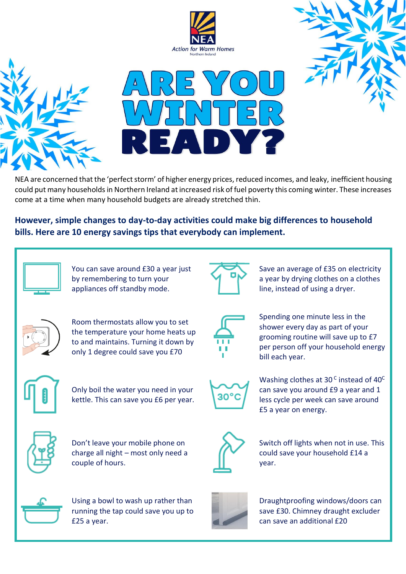







NEA are concerned that the 'perfect storm' of higher energy prices, reduced incomes, and leaky, inefficient housing could put many households in Northern Ireland at increased risk of fuel poverty this coming winter. These increases come at a time when many household budgets are already stretched thin.

# **However, simple changes to day-to-day activities could make big differences to household bills. Here are 10 energy savings tips that everybody can implement.**



You can save around £30 a year just by remembering to turn your appliances off standby mode.



Save an average of £35 on electricity a year by drying clothes on a clothes line, instead of using a dryer.



Room thermostats allow you to set the temperature your home heats up to and maintains. Turning it down by only 1 degree could save you £70



Spending one minute less in the shower every day as part of your grooming routine will save up to £7 per person off your household energy bill each year.



Only boil the water you need in your kettle. This can save you £6 per year.



Don't leave your mobile phone on charge all night – most only need a couple of hours.



зo°

Washing clothes at 30 $^{\circ}$  instead of 40 $^{\circ}$ can save you around £9 a year and 1 less cycle per week can save around £5 a year on energy.



Switch off lights when not in use. This could save your household £14 a year.



Using a bowl to wash up rather than running the tap could save you up to £25 a year.



Draughtproofing windows/doors can save £30. Chimney draught excluder can save an additional £20